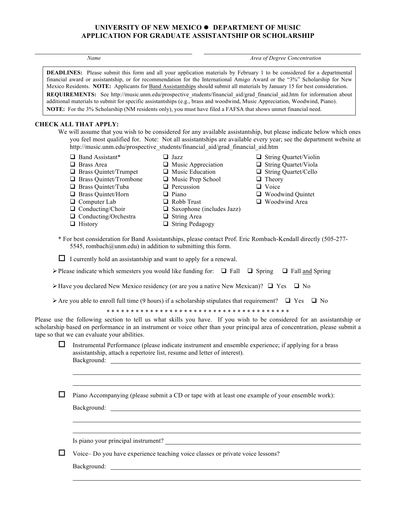## **UNIVERSITY OF NEW MEXICO**  $\bullet$  **DEPARTMENT OF MUSIC APPLICATION FOR GRADUATE ASSISTANTSHIP OR SCHOLARSHIP**

*Name Area of Degree Concentration*

**DEADLINES:** Please submit this form and all your application materials by February 1 to be considered for a departmental financial award or assistantship, or for recommendation for the International Amigo Award or the "3%" Scholarship for New Mexico Residents. **NOTE:** Applicants for Band Assistantships should submit all materials by January 15 for best consideration. **REQUIREMENTS:** See http://music.unm.edu/prospective\_students/financial\_aid/grad\_financial\_aid.htm for information about additional materials to submit for specific assistantships (e.g., brass and woodwind, Music Appreciation, Woodwind, Piano). **NOTE:** For the 3% Scholarship (NM residents only), you must have filed a FAFSA that shows unmet financial need.

> $\Box$  Music Appreciation  $\Box$  Music Education

## **CHECK ALL THAT APPLY:**

We will assume that you wish to be considered for any available assistantship, but please indicate below which ones you feel most qualified for. Note: Not all assistantships are available every year; see the department website at http://music.unm.edu/prospective\_students/financial\_aid/grad\_financial\_aid.htm

- $\Box$  Band Assistant\*
- $\Box$  Brass Area
- **Q** Brass Quintet/Trumpet
- $\Box$  Brass Quintet/Trombone
- $\Box$  Music Prep School  $\Box$  Percussion

 $\Box$  Jazz

 $\Box$  Piano  $\Box$  Robb Trust

- $\Box$  Brass Quintet/Tuba
- $\Box$  Brass Quintet/Horn  $\Box$  Computer Lab
	-
- $\Box$  Conducting/Choir
- $\Box$  Conducting/Orchestra  $\Box$  History
- $\Box$  String Area
- $\Box$  String Pedagogy
- $\Box$  String Quartet/Violin
- $\Box$  String Quartet/Viola
- $\Box$  String Quartet/Cello
- $\Box$  Theory
- **Q** Voice
- $\Box$  Woodwind Quintet
- $\Box$  Woodwind Area
- \* For best consideration for Band Assistantships, please contact Prof. Eric Rombach-Kendall directly (505-277- 5545, rombach@unm.edu) in addition to submitting this form.

 $\Box$  Saxophone (includes Jazz)

 $\Box$  I currently hold an assistantship and want to apply for a renewal.

| > Please indicate which semesters you would like funding for: $\Box$ Fall $\Box$ Spring $\Box$ Fall and Spring |  |  |
|----------------------------------------------------------------------------------------------------------------|--|--|
|----------------------------------------------------------------------------------------------------------------|--|--|

- $\triangleright$  Have you declared New Mexico residency (or are you a native New Mexican)?  $\Box$  Yes  $\Box$  No
- $\triangleright$  Are you able to enroll full time (9 hours) if a scholarship stipulates that requirement?  $\Box$  Yes  $\Box$  No

\* \* \* \* \* \* \* \* \* \* \* \* \* \* \* \* \* \* \* \* \* \* \* \* \* \* \* \* \* \* \* \* \* \* \* \* \* \*

Please use the following section to tell us what skills you have. If you wish to be considered for an assistantship or scholarship based on performance in an instrument or voice other than your principal area of concentration, please submit a tape so that we can evaluate your abilities.

 $\Box$  Instrumental Performance (please indicate instrument and ensemble experience; if applying for a brass assistantship, attach a repertoire list, resume and letter of interest). Background:

 $\Box$  Piano Accompanying (please submit a CD or tape with at least one example of your ensemble work):

Background:

Is piano your principal instrument?

 $\Box$  Voice– Do you have experience teaching voice classes or private voice lessons?

Background: The contract of the contract of the contract of the contract of the contract of the contract of the contract of the contract of the contract of the contract of the contract of the contract of the contract of th